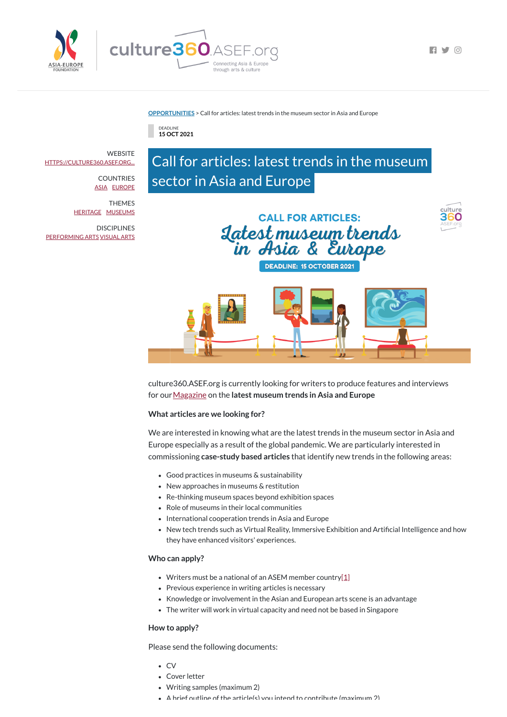

**FI Y 0** 

#### **[OPPORTUNITIES](https://culture360.asef.org/opportunities/)** > Call for articles: latest trends in the museum sector in Asia and Europe

DEADLINE **15 OCT 2021**

# Call for articles: latest trends in the museum sector in Asia and Europe



**DEADLINE: 15 OCTOBER 2021** 



culture360.ASEF.org is currently looking for writers to produce features and interviews for our[Magazine](http://www.culture360.org/magazine) on the **latest museum trends in Asia and Europe**

### **What articles are we looking for?**

We are interested in knowing what are the latest trends in the museum sector in Asia and Europe especially as a result of the global pandemic. We are particularly interested in commissioning **case-study based articles** that identify new trends in the following areas:

- Writers must be a national of an ASEM member country[\[1\]](https://culture360.asef.org/opportunities/call-articles-culture360aseforg/%22%20/l%20%22_ftn1%22%20/o%20%22%22%20/t%20%22_blank)
- Previous experience in writing articles is necessary
- Knowledge or involvement in the Asian and European arts scene is an advantage
- The writer will work in virtual capacity and need not be based in Singapore

**WEBSITE** [HTTPS://CULTURE360.ASEF.ORG...](https://culture360.asef.org/opportunities)

> **COUNTRIES** [ASIA](https://culture360.asef.org/countries/asia/) [EUROPE](https://culture360.asef.org/countries/europe/)

**DISCIPLINES** [PERFORMING](https://culture360.asef.org/disciplines/performing-arts/) ARTS [VISUAL](https://culture360.asef.org/disciplines/visual-arts/) ARTS

- Good practices in museums & sustainability
- New approaches in museums & restitution
- Re-thinking museum spaces beyond exhibition spaces
- Role of museums in their local communities
- International cooperation trends in Asia and Europe
- New tech trends such as Virtual Reality, Immersive Exhibition and Artificial Intelligence and how they have enhanced visitors' experiences.

#### **Who can apply?**

#### **How to apply?**

Please send the following documents:

- CV
- Cover letter
- Writing samples (maximum 2)
- $\bullet$   $\Delta$  brief outline of the article(s) you intend to contribute (maximum 2)

THEMES [HERITAGE](https://culture360.asef.org/themes/heritage/) [MUSEUMS](https://culture360.asef.org/themes/museums/)